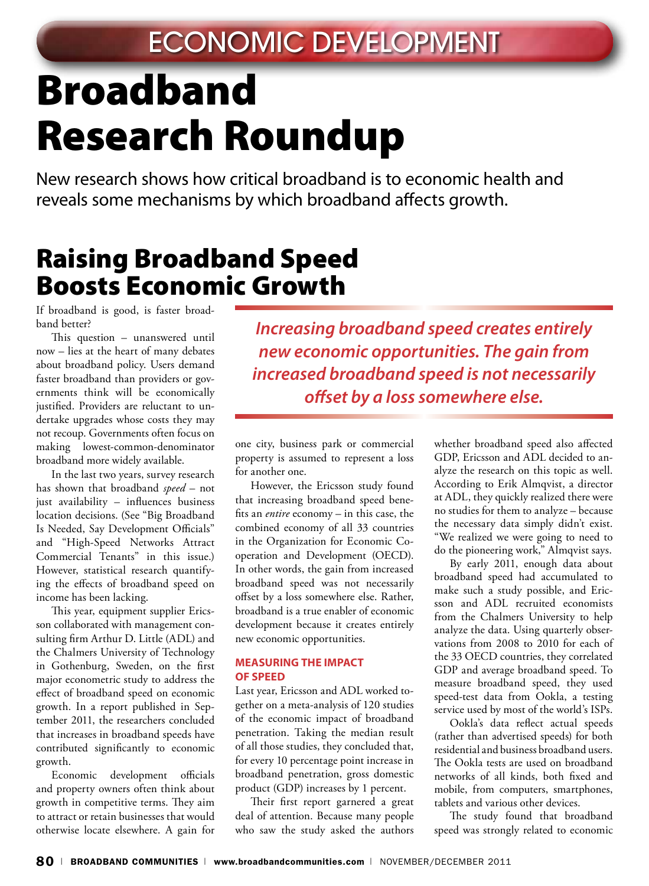# Broadband Research Roundup

New research shows how critical broadband is to economic health and reveals some mechanisms by which broadband affects growth.

### Raising Broadband Speed Boosts Economic Growth

If broadband is good, is faster broadband better?

This question – unanswered until now – lies at the heart of many debates about broadband policy. Users demand faster broadband than providers or governments think will be economically justified. Providers are reluctant to undertake upgrades whose costs they may not recoup. Governments often focus on making lowest-common-denominator broadband more widely available.

In the last two years, survey research has shown that broadband *speed* – not just availability – influences business location decisions. (See "Big Broadband Is Needed, Say Development Officials" and "High-Speed Networks Attract Commercial Tenants" in this issue.) However, statistical research quantifying the effects of broadband speed on income has been lacking.

This year, equipment supplier Ericsson collaborated with management consulting firm Arthur D. Little (ADL) and the Chalmers University of Technology in Gothenburg, Sweden, on the first major econometric study to address the effect of broadband speed on economic growth. In a report published in September 2011, the researchers concluded that increases in broadband speeds have contributed significantly to economic growth.

Economic development officials and property owners often think about growth in competitive terms. They aim to attract or retain businesses that would otherwise locate elsewhere. A gain for

*Increasing broadband speed creates entirely new economic opportunities. The gain from increased broadband speed is not necessarily offset by a loss somewhere else.* 

one city, business park or commercial property is assumed to represent a loss for another one.

However, the Ericsson study found that increasing broadband speed benefits an *entire* economy – in this case, the combined economy of all 33 countries in the Organization for Economic Cooperation and Development (OECD). In other words, the gain from increased broadband speed was not necessarily offset by a loss somewhere else. Rather, broadband is a true enabler of economic development because it creates entirely new economic opportunities.

#### **Measuring the Impact of Speed**

Last year, Ericsson and ADL worked together on a meta-analysis of 120 studies of the economic impact of broadband penetration. Taking the median result of all those studies, they concluded that, for every 10 percentage point increase in broadband penetration, gross domestic product (GDP) increases by 1 percent.

Their first report garnered a great deal of attention. Because many people who saw the study asked the authors

whether broadband speed also affected GDP, Ericsson and ADL decided to analyze the research on this topic as well. According to Erik Almqvist, a director at ADL, they quickly realized there were no studies for them to analyze – because the necessary data simply didn't exist. "We realized we were going to need to do the pioneering work," Almqvist says.

By early 2011, enough data about broadband speed had accumulated to make such a study possible, and Ericsson and ADL recruited economists from the Chalmers University to help analyze the data. Using quarterly observations from 2008 to 2010 for each of the 33 OECD countries, they correlated GDP and average broadband speed. To measure broadband speed, they used speed-test data from Ookla, a testing service used by most of the world's ISPs.

Ookla's data reflect actual speeds (rather than advertised speeds) for both residential and business broadband users. The Ookla tests are used on broadband networks of all kinds, both fixed and mobile, from computers, smartphones, tablets and various other devices.

The study found that broadband speed was strongly related to economic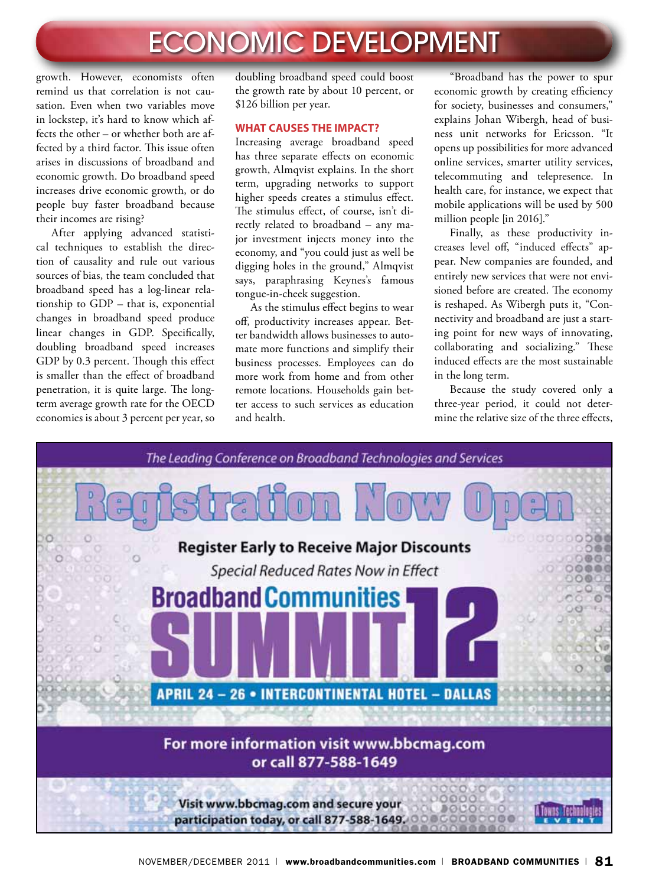# ECONOMIC DEVELOPMENT

growth. However, economists often remind us that correlation is not causation. Even when two variables move in lockstep, it's hard to know which affects the other – or whether both are affected by a third factor. This issue often arises in discussions of broadband and economic growth. Do broadband speed increases drive economic growth, or do people buy faster broadband because their incomes are rising?

After applying advanced statistical techniques to establish the direction of causality and rule out various sources of bias, the team concluded that broadband speed has a log-linear relationship to GDP – that is, exponential changes in broadband speed produce linear changes in GDP. Specifically, doubling broadband speed increases GDP by 0.3 percent. Though this effect is smaller than the effect of broadband penetration, it is quite large. The longterm average growth rate for the OECD economies is about 3 percent per year, so doubling broadband speed could boost the growth rate by about 10 percent, or \$126 billion per year.

#### **What Causes the Impact?**

Increasing average broadband speed has three separate effects on economic growth, Almqvist explains. In the short term, upgrading networks to support higher speeds creates a stimulus effect. The stimulus effect, of course, isn't directly related to broadband – any major investment injects money into the economy, and "you could just as well be digging holes in the ground," Almqvist says, paraphrasing Keynes's famous tongue-in-cheek suggestion.

As the stimulus effect begins to wear off, productivity increases appear. Better bandwidth allows businesses to automate more functions and simplify their business processes. Employees can do more work from home and from other remote locations. Households gain better access to such services as education and health.

"Broadband has the power to spur economic growth by creating efficiency for society, businesses and consumers," explains Johan Wibergh, head of business unit networks for Ericsson. "It opens up possibilities for more advanced online services, smarter utility services, telecommuting and telepresence. In health care, for instance, we expect that mobile applications will be used by 500 million people [in 2016]."

Finally, as these productivity increases level off, "induced effects" appear. New companies are founded, and entirely new services that were not envisioned before are created. The economy is reshaped. As Wibergh puts it, "Connectivity and broadband are just a starting point for new ways of innovating, collaborating and socializing." These induced effects are the most sustainable in the long term.

Because the study covered only a three-year period, it could not determine the relative size of the three effects,

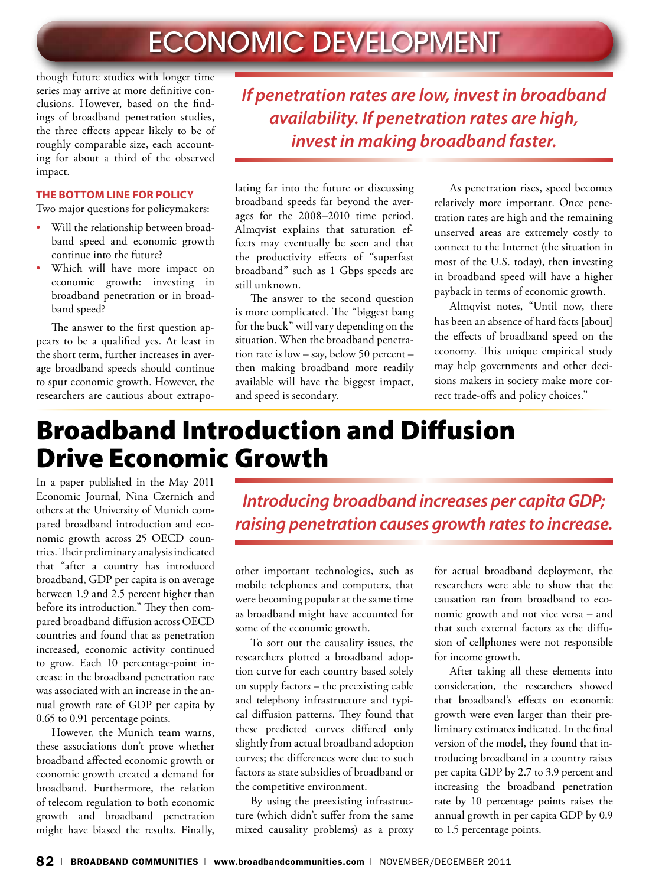though future studies with longer time series may arrive at more definitive conclusions. However, based on the findings of broadband penetration studies, the three effects appear likely to be of roughly comparable size, each accounting for about a third of the observed impact.

#### **The Bottom Line for Policy**

Two major questions for policymakers:

- Will the relationship between broadband speed and economic growth continue into the future?
- Which will have more impact on economic growth: investing in broadband penetration or in broadband speed?

The answer to the first question appears to be a qualified yes. At least in the short term, further increases in average broadband speeds should continue to spur economic growth. However, the researchers are cautious about extrapo*If penetration rates are low, invest in broadband availability. If penetration rates are high, invest in making broadband faster.*

lating far into the future or discussing broadband speeds far beyond the averages for the 2008–2010 time period. Almqvist explains that saturation effects may eventually be seen and that the productivity effects of "superfast broadband" such as 1 Gbps speeds are still unknown.

The answer to the second question is more complicated. The "biggest bang for the buck" will vary depending on the situation. When the broadband penetration rate is low – say, below 50 percent – then making broadband more readily available will have the biggest impact, and speed is secondary.

As penetration rises, speed becomes relatively more important. Once penetration rates are high and the remaining unserved areas are extremely costly to connect to the Internet (the situation in most of the U.S. today), then investing in broadband speed will have a higher payback in terms of economic growth.

Almqvist notes, "Until now, there has been an absence of hard facts [about] the effects of broadband speed on the economy. This unique empirical study may help governments and other decisions makers in society make more correct trade-offs and policy choices."

### Broadband Introduction and Diffusion Drive Economic Growth

In a paper published in the May 2011 Economic Journal, Nina Czernich and others at the University of Munich compared broadband introduction and economic growth across 25 OECD countries. Their preliminary analysis indicated that "after a country has introduced broadband, GDP per capita is on average between 1.9 and 2.5 percent higher than before its introduction." They then compared broadband diffusion across OECD countries and found that as penetration increased, economic activity continued to grow. Each 10 percentage-point increase in the broadband penetration rate was associated with an increase in the annual growth rate of GDP per capita by 0.65 to 0.91 percentage points.

However, the Munich team warns, these associations don't prove whether broadband affected economic growth or economic growth created a demand for broadband. Furthermore, the relation of telecom regulation to both economic growth and broadband penetration might have biased the results. Finally,

*Introducing broadband increases per capita GDP; raising penetration causes growth rates to increase.*

other important technologies, such as mobile telephones and computers, that were becoming popular at the same time as broadband might have accounted for some of the economic growth.

To sort out the causality issues, the researchers plotted a broadband adoption curve for each country based solely on supply factors – the preexisting cable and telephony infrastructure and typical diffusion patterns. They found that these predicted curves differed only slightly from actual broadband adoption curves; the differences were due to such factors as state subsidies of broadband or the competitive environment.

By using the preexisting infrastructure (which didn't suffer from the same mixed causality problems) as a proxy

for actual broadband deployment, the researchers were able to show that the causation ran from broadband to economic growth and not vice versa – and that such external factors as the diffusion of cellphones were not responsible for income growth.

After taking all these elements into consideration, the researchers showed that broadband's effects on economic growth were even larger than their preliminary estimates indicated. In the final version of the model, they found that introducing broadband in a country raises per capita GDP by 2.7 to 3.9 percent and increasing the broadband penetration rate by 10 percentage points raises the annual growth in per capita GDP by 0.9 to 1.5 percentage points.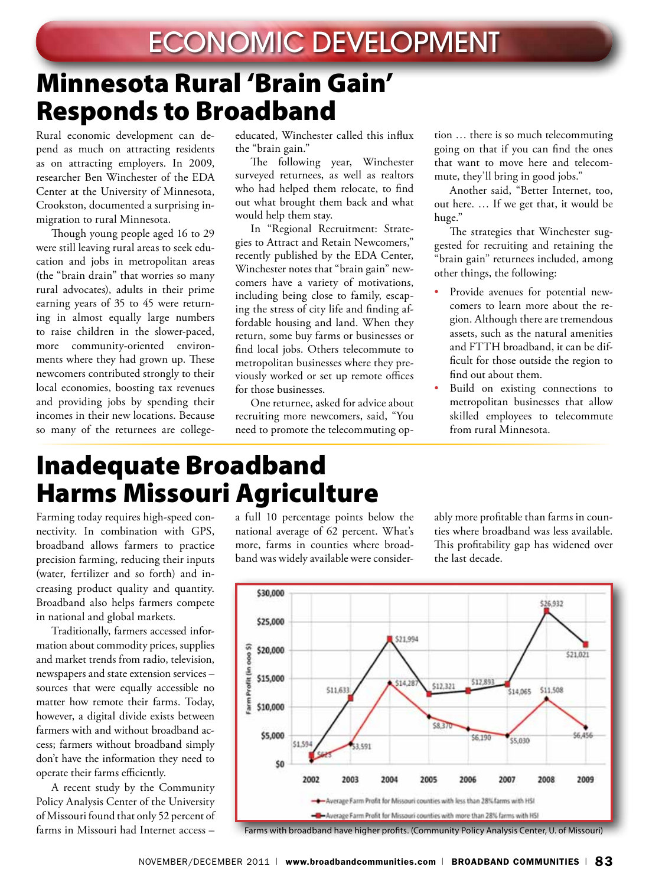### Minnesota Rural 'Brain Gain' Responds to Broadband

Rural economic development can depend as much on attracting residents as on attracting employers. In 2009, researcher Ben Winchester of the EDA Center at the University of Minnesota, Crookston, documented a surprising inmigration to rural Minnesota.

Though young people aged 16 to 29 were still leaving rural areas to seek education and jobs in metropolitan areas (the "brain drain" that worries so many rural advocates), adults in their prime earning years of 35 to 45 were returning in almost equally large numbers to raise children in the slower-paced, more community-oriented environments where they had grown up. These newcomers contributed strongly to their local economies, boosting tax revenues and providing jobs by spending their incomes in their new locations. Because so many of the returnees are collegeeducated, Winchester called this influx the "brain gain."

The following year, Winchester surveyed returnees, as well as realtors who had helped them relocate, to find out what brought them back and what would help them stay.

In "Regional Recruitment: Strategies to Attract and Retain Newcomers," recently published by the EDA Center, Winchester notes that "brain gain" newcomers have a variety of motivations, including being close to family, escaping the stress of city life and finding affordable housing and land. When they return, some buy farms or businesses or find local jobs. Others telecommute to metropolitan businesses where they previously worked or set up remote offices for those businesses.

One returnee, asked for advice about recruiting more newcomers, said, "You need to promote the telecommuting option … there is so much telecommuting going on that if you can find the ones that want to move here and telecommute, they'll bring in good jobs."

Another said, "Better Internet, too, out here. … If we get that, it would be huge."

The strategies that Winchester suggested for recruiting and retaining the "brain gain" returnees included, among other things, the following:

- Provide avenues for potential newcomers to learn more about the region. Although there are tremendous assets, such as the natural amenities and FTTH broadband, it can be difficult for those outside the region to find out about them.
- Build on existing connections to metropolitan businesses that allow skilled employees to telecommute from rural Minnesota.

### Inadequate Broadband Harms Missouri Agriculture

Farming today requires high-speed connectivity. In combination with GPS, broadband allows farmers to practice precision farming, reducing their inputs (water, fertilizer and so forth) and increasing product quality and quantity. Broadband also helps farmers compete in national and global markets.

Traditionally, farmers accessed information about commodity prices, supplies and market trends from radio, television, newspapers and state extension services – sources that were equally accessible no matter how remote their farms. Today, however, a digital divide exists between farmers with and without broadband access; farmers without broadband simply don't have the information they need to operate their farms efficiently.

A recent study by the Community Policy Analysis Center of the University of Missouri found that only 52 percent of farms in Missouri had Internet access –

a full 10 percentage points below the national average of 62 percent. What's more, farms in counties where broadband was widely available were considerably more profitable than farms in counties where broadband was less available. This profitability gap has widened over the last decade.



Farms with broadband have higher profits. (Community Policy Analysis Center, U. of Missouri)